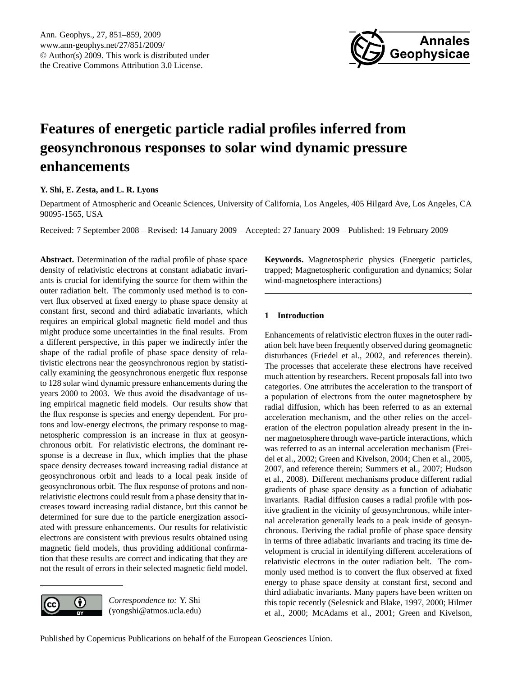

# <span id="page-0-0"></span>**Features of energetic particle radial profiles inferred from geosynchronous responses to solar wind dynamic pressure enhancements**

## **Y. Shi, E. Zesta, and L. R. Lyons**

Department of Atmospheric and Oceanic Sciences, University of California, Los Angeles, 405 Hilgard Ave, Los Angeles, CA 90095-1565, USA

Received: 7 September 2008 – Revised: 14 January 2009 – Accepted: 27 January 2009 – Published: 19 February 2009

**Abstract.** Determination of the radial profile of phase space density of relativistic electrons at constant adiabatic invariants is crucial for identifying the source for them within the outer radiation belt. The commonly used method is to convert flux observed at fixed energy to phase space density at constant first, second and third adiabatic invariants, which requires an empirical global magnetic field model and thus might produce some uncertainties in the final results. From a different perspective, in this paper we indirectly infer the shape of the radial profile of phase space density of relativistic electrons near the geosynchronous region by statistically examining the geosynchronous energetic flux response to 128 solar wind dynamic pressure enhancements during the years 2000 to 2003. We thus avoid the disadvantage of using empirical magnetic field models. Our results show that the flux response is species and energy dependent. For protons and low-energy electrons, the primary response to magnetospheric compression is an increase in flux at geosynchronous orbit. For relativistic electrons, the dominant response is a decrease in flux, which implies that the phase space density decreases toward increasing radial distance at geosynchronous orbit and leads to a local peak inside of geosynchronous orbit. The flux response of protons and nonrelativistic electrons could result from a phase density that increases toward increasing radial distance, but this cannot be determined for sure due to the particle energization associated with pressure enhancements. Our results for relativistic electrons are consistent with previous results obtained using magnetic field models, thus providing additional confirmation that these results are correct and indicating that they are not the result of errors in their selected magnetic field model.

0 (cc

*Correspondence to:* Y. Shi (yongshi@atmos.ucla.edu) **Keywords.** Magnetospheric physics (Energetic particles, trapped; Magnetospheric configuration and dynamics; Solar wind-magnetosphere interactions)

### **1 Introduction**

Enhancements of relativistic electron fluxes in the outer radiation belt have been frequently observed during geomagnetic disturbances (Friedel et al., 2002, and references therein). The processes that accelerate these electrons have received much attention by researchers. Recent proposals fall into two categories. One attributes the acceleration to the transport of a population of electrons from the outer magnetosphere by radial diffusion, which has been referred to as an external acceleration mechanism, and the other relies on the acceleration of the electron population already present in the inner magnetosphere through wave-particle interactions, which was referred to as an internal acceleration mechanism (Freidel et al., 2002; Green and Kivelson, 2004; Chen et al., 2005, 2007, and reference therein; Summers et al., 2007; Hudson et al., 2008). Different mechanisms produce different radial gradients of phase space density as a function of adiabatic invariants. Radial diffusion causes a radial profile with positive gradient in the vicinity of geosynchronous, while internal acceleration generally leads to a peak inside of geosynchronous. Deriving the radial profile of phase space density in terms of three adiabatic invariants and tracing its time development is crucial in identifying different accelerations of relativistic electrons in the outer radiation belt. The commonly used method is to convert the flux observed at fixed energy to phase space density at constant first, second and third adiabatic invariants. Many papers have been written on this topic recently (Selesnick and Blake, 1997, 2000; Hilmer et al., 2000; McAdams et al., 2001; Green and Kivelson,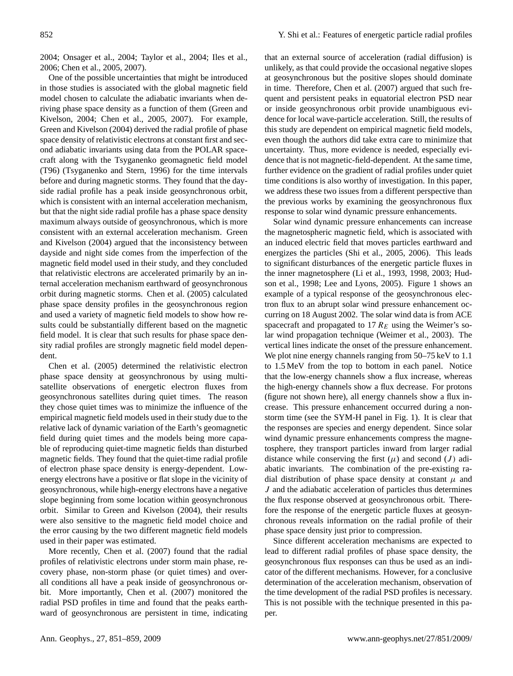2004; Onsager et al., 2004; Taylor et al., 2004; Iles et al., 2006; Chen et al., 2005, 2007).

One of the possible uncertainties that might be introduced in those studies is associated with the global magnetic field model chosen to calculate the adiabatic invariants when deriving phase space density as a function of them (Green and Kivelson, 2004; Chen et al., 2005, 2007). For example, Green and Kivelson (2004) derived the radial profile of phase space density of relativistic electrons at constant first and second adiabatic invariants using data from the POLAR spacecraft along with the Tsyganenko geomagnetic field model (T96) (Tsyganenko and Stern, 1996) for the time intervals before and during magnetic storms. They found that the dayside radial profile has a peak inside geosynchronous orbit, which is consistent with an internal acceleration mechanism, but that the night side radial profile has a phase space density maximum always outside of geosynchronous, which is more consistent with an external acceleration mechanism. Green and Kivelson (2004) argued that the inconsistency between dayside and night side comes from the imperfection of the magnetic field model used in their study, and they concluded that relativistic electrons are accelerated primarily by an internal acceleration mechanism earthward of geosynchronous orbit during magnetic storms. Chen et al. (2005) calculated phase space density profiles in the geosynchronous region and used a variety of magnetic field models to show how results could be substantially different based on the magnetic field model. It is clear that such results for phase space density radial profiles are strongly magnetic field model dependent.

Chen et al. (2005) determined the relativistic electron phase space density at geosynchronous by using multisatellite observations of energetic electron fluxes from geosynchronous satellites during quiet times. The reason they chose quiet times was to minimize the influence of the empirical magnetic field models used in their study due to the relative lack of dynamic variation of the Earth's geomagnetic field during quiet times and the models being more capable of reproducing quiet-time magnetic fields than disturbed magnetic fields. They found that the quiet-time radial profile of electron phase space density is energy-dependent. Lowenergy electrons have a positive or flat slope in the vicinity of geosynchronous, while high-energy electrons have a negative slope beginning from some location within geosynchronous orbit. Similar to Green and Kivelson (2004), their results were also sensitive to the magnetic field model choice and the error causing by the two different magnetic field models used in their paper was estimated.

More recently, Chen et al. (2007) found that the radial profiles of relativistic electrons under storm main phase, recovery phase, non-storm phase (or quiet times) and overall conditions all have a peak inside of geosynchronous orbit. More importantly, Chen et al. (2007) monitored the radial PSD profiles in time and found that the peaks earthward of geosynchronous are persistent in time, indicating that an external source of acceleration (radial diffusion) is unlikely, as that could provide the occasional negative slopes at geosynchronous but the positive slopes should dominate in time. Therefore, Chen et al. (2007) argued that such frequent and persistent peaks in equatorial electron PSD near or inside geosynchronous orbit provide unambiguous evidence for local wave-particle acceleration. Still, the results of this study are dependent on empirical magnetic field models, even though the authors did take extra care to minimize that uncertainty. Thus, more evidence is needed, especially evidence that is not magnetic-field-dependent. At the same time, further evidence on the gradient of radial profiles under quiet time conditions is also worthy of investigation. In this paper, we address these two issues from a different perspective than the previous works by examining the geosynchronous flux response to solar wind dynamic pressure enhancements.

Solar wind dynamic pressure enhancements can increase the magnetospheric magnetic field, which is associated with an induced electric field that moves particles earthward and energizes the particles (Shi et al., 2005, 2006). This leads to significant disturbances of the energetic particle fluxes in the inner magnetosphere (Li et al., 1993, 1998, 2003; Hudson et al., 1998; Lee and Lyons, 2005). Figure 1 shows an example of a typical response of the geosynchronous electron flux to an abrupt solar wind pressure enhancement occurring on 18 August 2002. The solar wind data is from ACE spacecraft and propagated to 17  $R_E$  using the Weimer's solar wind propagation technique (Weimer et al., 2003). The vertical lines indicate the onset of the pressure enhancement. We plot nine energy channels ranging from 50–75 keV to 1.1 to 1.5 MeV from the top to bottom in each panel. Notice that the low-energy channels show a flux increase, whereas the high-energy channels show a flux decrease. For protons (figure not shown here), all energy channels show a flux increase. This pressure enhancement occurred during a nonstorm time (see the SYM-H panel in Fig. 1). It is clear that the responses are species and energy dependent. Since solar wind dynamic pressure enhancements compress the magnetosphere, they transport particles inward from larger radial distance while conserving the first  $(\mu)$  and second  $(J)$  adiabatic invariants. The combination of the pre-existing radial distribution of phase space density at constant  $\mu$  and J and the adiabatic acceleration of particles thus determines the flux response observed at geosynchronous orbit. Therefore the response of the energetic particle fluxes at geosynchronous reveals information on the radial profile of their phase space density just prior to compression.

Since different acceleration mechanisms are expected to lead to different radial profiles of phase space density, the geosynchronous flux responses can thus be used as an indicator of the different mechanisms. However, for a conclusive determination of the acceleration mechanism, observation of the time development of the radial PSD profiles is necessary. This is not possible with the technique presented in this paper.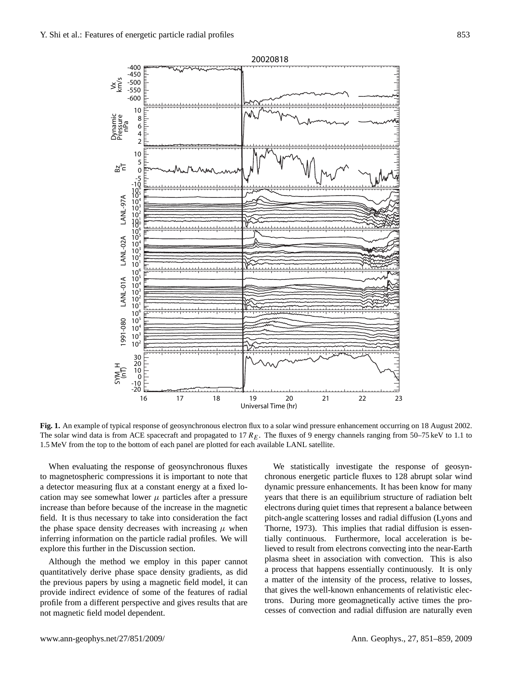

**Fig. 1.** An example of typical response of geosynchronous electron flux to a solar wind pressure enhancement occurring on 18 August 2002. The solar wind data is from ACE spacecraft and propagated to 17  $R_E$ . The fluxes of 9 energy channels ranging from 50–75 keV to 1.1 to 1.5 MeV from the top to the bottom of each panel are plotted for each available LANL satellite.

When evaluating the response of geosynchronous fluxes to magnetospheric compressions it is important to note that a detector measuring flux at a constant energy at a fixed location may see somewhat lower  $\mu$  particles after a pressure increase than before because of the increase in the magnetic field. It is thus necessary to take into consideration the fact the phase space density decreases with increasing  $\mu$  when inferring information on the particle radial profiles. We will explore this further in the Discussion section.

Although the method we employ in this paper cannot quantitatively derive phase space density gradients, as did the previous papers by using a magnetic field model, it can provide indirect evidence of some of the features of radial profile from a different perspective and gives results that are not magnetic field model dependent.

We statistically investigate the response of geosynchronous energetic particle fluxes to 128 abrupt solar wind dynamic pressure enhancements. It has been know for many years that there is an equilibrium structure of radiation belt electrons during quiet times that represent a balance between pitch-angle scattering losses and radial diffusion (Lyons and Thorne, 1973). This implies that radial diffusion is essentially continuous. Furthermore, local acceleration is believed to result from electrons convecting into the near-Earth plasma sheet in association with convection. This is also a process that happens essentially continuously. It is only a matter of the intensity of the process, relative to losses, that gives the well-known enhancements of relativistic electrons. During more geomagnetically active times the processes of convection and radial diffusion are naturally even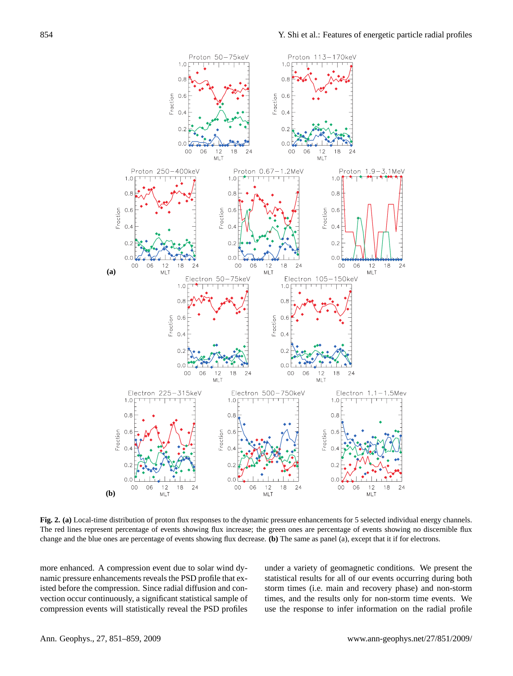

**Fig. 2. (a)** Local-time distribution of proton flux responses to the dynamic pressure enhancements for 5 selected individual energy channels. The red lines represent percentage of events showing flux increase; the green ones are percentage of events showing no discernible flux change and the blue ones are percentage of events showing flux decrease. **(b)** The same as panel (a), except that it if for electrons.

more enhanced. A compression event due to solar wind dynamic pressure enhancements reveals the PSD profile that existed before the compression. Since radial diffusion and convection occur continuously, a significant statistical sample of compression events will statistically reveal the PSD profiles under a variety of geomagnetic conditions. We present the statistical results for all of our events occurring during both storm times (i.e. main and recovery phase) and non-storm times, and the results only for non-storm time events. We use the response to infer information on the radial profile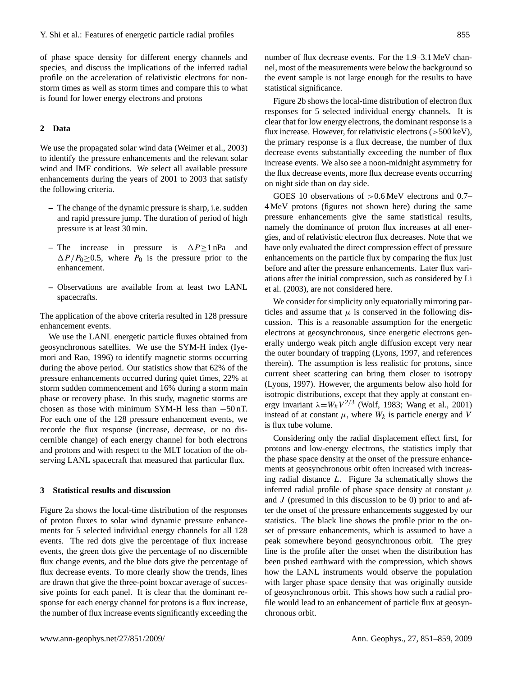of phase space density for different energy channels and species, and discuss the implications of the inferred radial profile on the acceleration of relativistic electrons for nonstorm times as well as storm times and compare this to what is found for lower energy electrons and protons

#### **2 Data**

We use the propagated solar wind data (Weimer et al., 2003) to identify the pressure enhancements and the relevant solar wind and IMF conditions. We select all available pressure enhancements during the years of 2001 to 2003 that satisfy the following criteria.

- **–** The change of the dynamic pressure is sharp, i.e. sudden and rapid pressure jump. The duration of period of high pressure is at least 30 min.
- **–** The increase in pressure is  $\Delta P \ge 1$  nPa and  $\Delta P / P_0 \ge 0.5$ , where  $P_0$  is the pressure prior to the enhancement.
- **–** Observations are available from at least two LANL spacecrafts.

The application of the above criteria resulted in 128 pressure enhancement events.

We use the LANL energetic particle fluxes obtained from geosynchronous satellites. We use the SYM-H index (Iyemori and Rao, 1996) to identify magnetic storms occurring during the above period. Our statistics show that 62% of the pressure enhancements occurred during quiet times, 22% at storm sudden commencement and 16% during a storm main phase or recovery phase. In this study, magnetic storms are chosen as those with minimum SYM-H less than −50 nT. For each one of the 128 pressure enhancement events, we recorde the flux response (increase, decrease, or no discernible change) of each energy channel for both electrons and protons and with respect to the MLT location of the observing LANL spacecraft that measured that particular flux.

#### **3 Statistical results and discussion**

Figure 2a shows the local-time distribution of the responses of proton fluxes to solar wind dynamic pressure enhancements for 5 selected individual energy channels for all 128 events. The red dots give the percentage of flux increase events, the green dots give the percentage of no discernible flux change events, and the blue dots give the percentage of flux decrease events. To more clearly show the trends, lines are drawn that give the three-point boxcar average of successive points for each panel. It is clear that the dominant response for each energy channel for protons is a flux increase, the number of flux increase events significantly exceeding the number of flux decrease events. For the 1.9–3.1 MeV channel, most of the measurements were below the background so the event sample is not large enough for the results to have statistical significance.

Figure 2b shows the local-time distribution of electron flux responses for 5 selected individual energy channels. It is clear that for low energy electrons, the dominant response is a flux increase. However, for relativistic electrons (>500 keV), the primary response is a flux decrease, the number of flux decrease events substantially exceeding the number of flux increase events. We also see a noon-midnight asymmetry for the flux decrease events, more flux decrease events occurring on night side than on day side.

GOES 10 observations of  $> 0.6$  MeV electrons and 0.7– 4 MeV protons (figures not shown here) during the same pressure enhancements give the same statistical results, namely the dominance of proton flux increases at all energies, and of relativistic electron flux decreases. Note that we have only evaluated the direct compression effect of pressure enhancements on the particle flux by comparing the flux just before and after the pressure enhancements. Later flux variations after the initial compression, such as considered by Li et al. (2003), are not considered here.

We consider for simplicity only equatorially mirroring particles and assume that  $\mu$  is conserved in the following discussion. This is a reasonable assumption for the energetic electrons at geosynchronous, since energetic electrons generally undergo weak pitch angle diffusion except very near the outer boundary of trapping (Lyons, 1997, and references therein). The assumption is less realistic for protons, since current sheet scattering can bring them closer to isotropy (Lyons, 1997). However, the arguments below also hold for isotropic distributions, except that they apply at constant energy invariant  $\lambda = W_k V^{2/3}$  (Wolf, 1983; Wang et al., 2001) instead of at constant  $\mu$ , where  $W_k$  is particle energy and V is flux tube volume.

Considering only the radial displacement effect first, for protons and low-energy electrons, the statistics imply that the phase space density at the onset of the pressure enhancements at geosynchronous orbit often increased with increasing radial distance L. Figure 3a schematically shows the inferred radial profile of phase space density at constant  $\mu$ and J (presumed in this discussion to be 0) prior to and after the onset of the pressure enhancements suggested by our statistics. The black line shows the profile prior to the onset of pressure enhancements, which is assumed to have a peak somewhere beyond geosynchronous orbit. The grey line is the profile after the onset when the distribution has been pushed earthward with the compression, which shows how the LANL instruments would observe the population with larger phase space density that was originally outside of geosynchronous orbit. This shows how such a radial profile would lead to an enhancement of particle flux at geosynchronous orbit.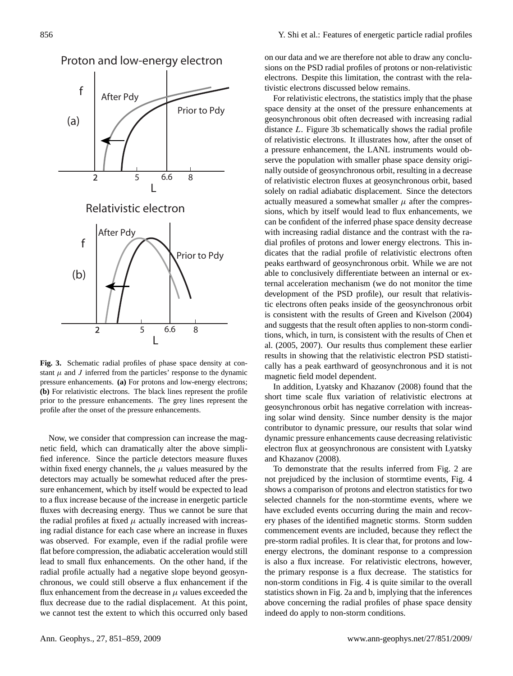

**Fig. 3.** Schematic radial profiles of phase space density at constant  $\mu$  and  $J$  inferred from the particles' response to the dynamic pressure enhancements. **(a)** For protons and low-energy electrons; **(b)** For relativistic electrons. The black lines represent the profile prior to the pressure enhancements. The grey lines represent the profile after the onset of the pressure enhancements.

Now, we consider that compression can increase the magnetic field, which can dramatically alter the above simplified inference. Since the particle detectors measure fluxes within fixed energy channels, the  $\mu$  values measured by the detectors may actually be somewhat reduced after the pressure enhancement, which by itself would be expected to lead to a flux increase because of the increase in energetic particle fluxes with decreasing energy. Thus we cannot be sure that the radial profiles at fixed  $\mu$  actually increased with increasing radial distance for each case where an increase in fluxes was observed. For example, even if the radial profile were flat before compression, the adiabatic acceleration would still lead to small flux enhancements. On the other hand, if the radial profile actually had a negative slope beyond geosynchronous, we could still observe a flux enhancement if the flux enhancement from the decrease in  $\mu$  values exceeded the flux decrease due to the radial displacement. At this point, we cannot test the extent to which this occurred only based

on our data and we are therefore not able to draw any conclusions on the PSD radial profiles of protons or non-relativistic electrons. Despite this limitation, the contrast with the relativistic electrons discussed below remains.

For relativistic electrons, the statistics imply that the phase space density at the onset of the pressure enhancements at geosynchronous obit often decreased with increasing radial distance L. Figure 3b schematically shows the radial profile of relativistic electrons. It illustrates how, after the onset of a pressure enhancement, the LANL instruments would observe the population with smaller phase space density originally outside of geosynchronous orbit, resulting in a decrease of relativistic electron fluxes at geosynchronous orbit, based solely on radial adiabatic displacement. Since the detectors actually measured a somewhat smaller  $\mu$  after the compressions, which by itself would lead to flux enhancements, we can be confident of the inferred phase space density decrease with increasing radial distance and the contrast with the radial profiles of protons and lower energy electrons. This indicates that the radial profile of relativistic electrons often peaks earthward of geosynchronous orbit. While we are not able to conclusively differentiate between an internal or external acceleration mechanism (we do not monitor the time development of the PSD profile), our result that relativistic electrons often peaks inside of the geosynchronous orbit is consistent with the results of Green and Kivelson (2004) and suggests that the result often applies to non-storm conditions, which, in turn, is consistent with the results of Chen et al. (2005, 2007). Our results thus complement these earlier results in showing that the relativistic electron PSD statistically has a peak earthward of geosynchronous and it is not magnetic field model dependent.

In addition, Lyatsky and Khazanov (2008) found that the short time scale flux variation of relativistic electrons at geosynchronous orbit has negative correlation with increasing solar wind density. Since number density is the major contributor to dynamic pressure, our results that solar wind dynamic pressure enhancements cause decreasing relativistic electron flux at geosynchronous are consistent with Lyatsky and Khazanov (2008).

To demonstrate that the results inferred from Fig. 2 are not prejudiced by the inclusion of stormtime events, Fig. 4 shows a comparison of protons and electron statistics for two selected channels for the non-stormtime events, where we have excluded events occurring during the main and recovery phases of the identified magnetic storms. Storm sudden commencement events are included, because they reflect the pre-storm radial profiles. It is clear that, for protons and lowenergy electrons, the dominant response to a compression is also a flux increase. For relativistic electrons, however, the primary response is a flux decrease. The statistics for non-storm conditions in Fig. 4 is quite similar to the overall statistics shown in Fig. 2a and b, implying that the inferences above concerning the radial profiles of phase space density indeed do apply to non-storm conditions.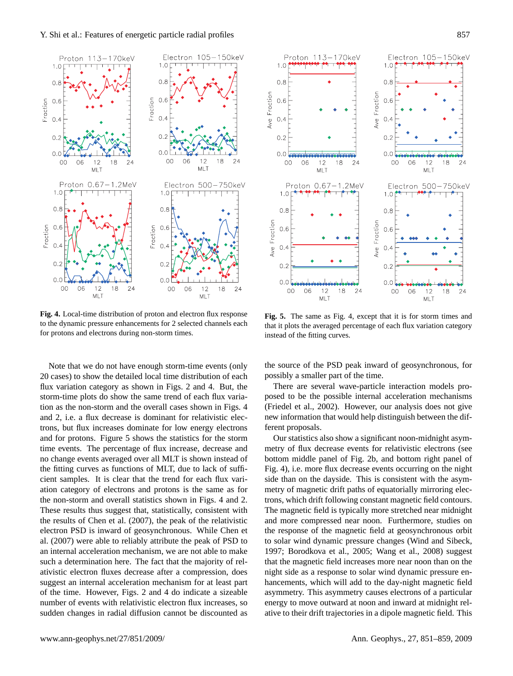

**Fig. 4.** Local-time distribution of proton and electron flux response to the dynamic pressure enhancements for 2 selected channels each for protons and electrons during non-storm times.

Note that we do not have enough storm-time events (only 20 cases) to show the detailed local time distribution of each flux variation category as shown in Figs. 2 and 4. But, the storm-time plots do show the same trend of each flux variation as the non-storm and the overall cases shown in Figs. 4 and 2, i.e. a flux decrease is dominant for relativistic electrons, but flux increases dominate for low energy electrons and for protons. Figure 5 shows the statistics for the storm time events. The percentage of flux increase, decrease and no change events averaged over all MLT is shown instead of the fitting curves as functions of MLT, due to lack of sufficient samples. It is clear that the trend for each flux variation category of electrons and protons is the same as for the non-storm and overall statistics shown in Figs. 4 and 2. These results thus suggest that, statistically, consistent with the results of Chen et al. (2007), the peak of the relativistic electron PSD is inward of geosynchronous. While Chen et al. (2007) were able to reliably attribute the peak of PSD to an internal acceleration mechanism, we are not able to make such a determination here. The fact that the majority of relativistic electron fluxes decrease after a compression, does suggest an internal acceleration mechanism for at least part of the time. However, Figs. 2 and 4 do indicate a sizeable number of events with relativistic electron flux increases, so sudden changes in radial diffusion cannot be discounted as



**Fig. 5.** The same as Fig. 4, except that it is for storm times and that it plots the averaged percentage of each flux variation category instead of the fitting curves.

the source of the PSD peak inward of geosynchronous, for possibly a smaller part of the time.

There are several wave-particle interaction models proposed to be the possible internal acceleration mechanisms (Friedel et al., 2002). However, our analysis does not give new information that would help distinguish between the different proposals.

Our statistics also show a significant noon-midnight asymmetry of flux decrease events for relativistic electrons (see bottom middle panel of Fig. 2b, and bottom right panel of Fig. 4), i.e. more flux decrease events occurring on the night side than on the dayside. This is consistent with the asymmetry of magnetic drift paths of equatorially mirroring electrons, which drift following constant magnetic field contours. The magnetic field is typically more stretched near midnight and more compressed near noon. Furthermore, studies on the response of the magnetic field at geosynchronous orbit to solar wind dynamic pressure changes (Wind and Sibeck, 1997; Borodkova et al., 2005; Wang et al., 2008) suggest that the magnetic field increases more near noon than on the night side as a response to solar wind dynamic pressure enhancements, which will add to the day-night magnetic field asymmetry. This asymmetry causes electrons of a particular energy to move outward at noon and inward at midnight relative to their drift trajectories in a dipole magnetic field. This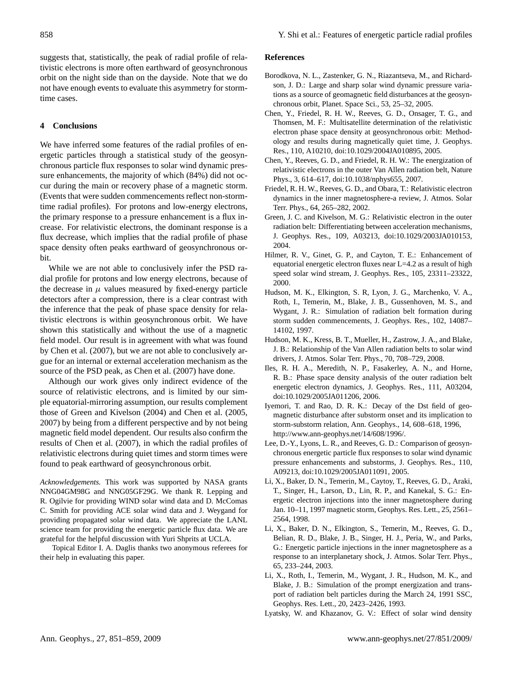suggests that, statistically, the peak of radial profile of relativistic electrons is more often earthward of geosynchronous orbit on the night side than on the dayside. Note that we do not have enough events to evaluate this asymmetry for stormtime cases.

#### **4 Conclusions**

We have inferred some features of the radial profiles of energetic particles through a statistical study of the geosynchronous particle flux responses to solar wind dynamic pressure enhancements, the majority of which (84%) did not occur during the main or recovery phase of a magnetic storm. (Events that were sudden commencements reflect non-stormtime radial profiles). For protons and low-energy electrons, the primary response to a pressure enhancement is a flux increase. For relativistic electrons, the dominant response is a flux decrease, which implies that the radial profile of phase space density often peaks earthward of geosynchronous orbit.

While we are not able to conclusively infer the PSD radial profile for protons and low energy electrons, because of the decrease in  $\mu$  values measured by fixed-energy particle detectors after a compression, there is a clear contrast with the inference that the peak of phase space density for relativistic electrons is within geosynchronous orbit. We have shown this statistically and without the use of a magnetic field model. Our result is in agreement with what was found by Chen et al. (2007), but we are not able to conclusively argue for an internal or external acceleration mechanism as the source of the PSD peak, as Chen et al. (2007) have done.

Although our work gives only indirect evidence of the source of relativistic electrons, and is limited by our simple equatorial-mirroring assumption, our results complement those of Green and Kivelson (2004) and Chen et al. (2005, 2007) by being from a different perspective and by not being magnetic field model dependent. Our results also confirm the results of Chen et al. (2007), in which the radial profiles of relativistic electrons during quiet times and storm times were found to peak earthward of geosynchronous orbit.

*Acknowledgements.* This work was supported by NASA grants NNG04GM98G and NNG05GF29G. We thank R. Lepping and R. Ogilvie for providing WIND solar wind data and D. McComas C. Smith for providing ACE solar wind data and J. Weygand for providing propagated solar wind data. We appreciate the LANL science team for providing the energetic particle flux data. We are grateful for the helpful discussion with Yuri Shprits at UCLA.

Topical Editor I. A. Daglis thanks two anonymous referees for their help in evaluating this paper.

#### **References**

- Borodkova, N. L., Zastenker, G. N., Riazantseva, M., and Richardson, J. D.: Large and sharp solar wind dynamic pressure variations as a source of geomagnetic field disturbances at the geosynchronous orbit, Planet. Space Sci., 53, 25–32, 2005.
- Chen, Y., Friedel, R. H. W., Reeves, G. D., Onsager, T. G., and Thomsen, M. F.: Multisatellite determination of the relativistic electron phase space density at geosynchronous orbit: Methodology and results during magnetically quiet time, J. Geophys. Res., 110, A10210, doi:10.1029/2004JA010895, 2005.
- Chen, Y., Reeves, G. D., and Friedel, R. H. W.: The energization of relativistic electrons in the outer Van Allen radiation belt, Nature Phys., 3, 614–617, doi:10.1038/nphys655, 2007.
- Friedel, R. H. W., Reeves, G. D., and Obara, T.: Relativistic electron dynamics in the inner magnetosphere-a review, J. Atmos. Solar Terr. Phys., 64, 265–282, 2002.
- Green, J. C. and Kivelson, M. G.: Relativistic electron in the outer radiation belt: Differentiating between acceleration mechanisms, J. Geophys. Res., 109, A03213, doi:10.1029/2003JA010153, 2004.
- Hilmer, R. V., Ginet, G. P., and Cayton, T. E.: Enhancement of equatorial energetic electron fluxes near L=4.2 as a result of high speed solar wind stream, J. Geophys. Res., 105, 23311–23322, 2000.
- Hudson, M. K., Elkington, S. R, Lyon, J. G., Marchenko, V. A., Roth, I., Temerin, M., Blake, J. B., Gussenhoven, M. S., and Wygant, J. R.: Simulation of radiation belt formation during storm sudden commencements, J. Geophys. Res., 102, 14087– 14102, 1997.
- Hudson, M. K., Kress, B. T., Mueller, H., Zastrow, J. A., and Blake, J. B.: Relationship of the Van Allen radiation belts to solar wind drivers, J. Atmos. Solar Terr. Phys., 70, 708–729, 2008.
- Iles, R. H. A., Meredith, N. P., Fasakerley, A. N., and Horne, R. B.: Phase space density analysis of the outer radiation belt energetic electron dynamics, J. Geophys. Res., 111, A03204, doi:10.1029/2005JA011206, 2006.
- Iyemori, T. and Rao, D. R. K.: Decay of the Dst field of geomagnetic disturbance after substorm onset and its implication to storm-substorm relation, Ann. Geophys., 14, 608–618, 1996, [http://www.ann-geophys.net/14/608/1996/.](http://www.ann-geophys.net/14/608/1996/)
- Lee, D.-Y., Lyons, L. R., and Reeves, G. D.: Comparison of geosynchronous energetic particle flux responses to solar wind dynamic pressure enhancements and substorms, J. Geophys. Res., 110, A09213, doi:10.1029/2005JA011091, 2005.
- Li, X., Baker, D. N., Temerin, M., Caytoy, T., Reeves, G. D., Araki, T., Singer, H., Larson, D., Lin, R. P., and Kanekal, S. G.: Energetic electron injections into the inner magnetosphere during Jan. 10–11, 1997 magnetic storm, Geophys. Res. Lett., 25, 2561– 2564, 1998.
- Li, X., Baker, D. N., Elkington, S., Temerin, M., Reeves, G. D., Belian, R. D., Blake, J. B., Singer, H. J., Peria, W., and Parks, G.: Energetic particle injections in the inner magnetosphere as a response to an interplanetary shock, J. Atmos. Solar Terr. Phys., 65, 233–244, 2003.
- Li, X., Roth, I., Temerin, M., Wygant, J. R., Hudson, M. K., and Blake, J. B.: Simulation of the prompt energization and transport of radiation belt particles during the March 24, 1991 SSC, Geophys. Res. Lett., 20, 2423–2426, 1993.
- Lyatsky, W. and Khazanov, G. V.: Effect of solar wind density